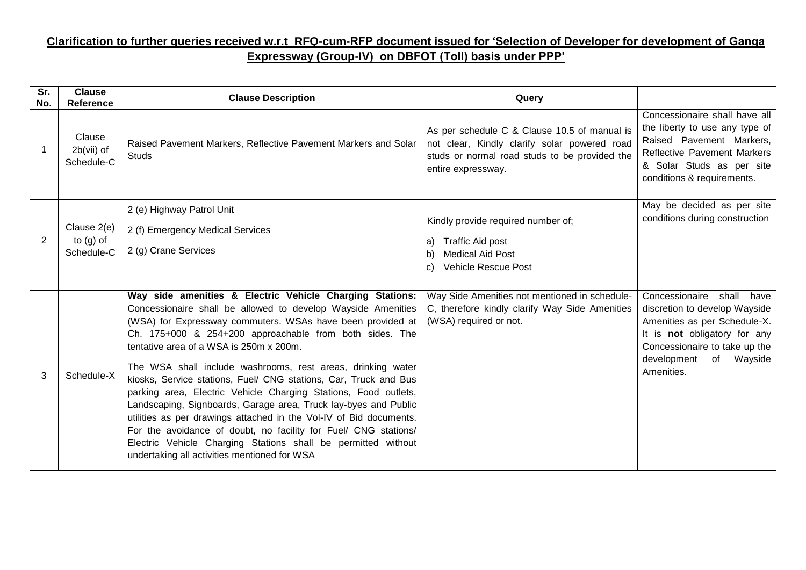## **Clarification to further queries received w.r.t RFQ-cum-RFP document issued for 'Selection of Developer for development of Ganga Expressway (Group-IV) on DBFOT (Toll) basis under PPP'**

| Sr.<br>No. | <b>Clause</b><br>Reference               | <b>Clause Description</b>                                                                                                                                                                                                                                                                                                                                                                                                                                                                                                                                                                                                                                                                                                                                                                                                       | Query                                                                                                                                                               |                                                                                                                                                                                                                 |
|------------|------------------------------------------|---------------------------------------------------------------------------------------------------------------------------------------------------------------------------------------------------------------------------------------------------------------------------------------------------------------------------------------------------------------------------------------------------------------------------------------------------------------------------------------------------------------------------------------------------------------------------------------------------------------------------------------------------------------------------------------------------------------------------------------------------------------------------------------------------------------------------------|---------------------------------------------------------------------------------------------------------------------------------------------------------------------|-----------------------------------------------------------------------------------------------------------------------------------------------------------------------------------------------------------------|
|            | Clause<br>$2b(vii)$ of<br>Schedule-C     | Raised Pavement Markers, Reflective Pavement Markers and Solar<br><b>Studs</b>                                                                                                                                                                                                                                                                                                                                                                                                                                                                                                                                                                                                                                                                                                                                                  | As per schedule C & Clause 10.5 of manual is<br>not clear, Kindly clarify solar powered road<br>studs or normal road studs to be provided the<br>entire expressway. | Concessionaire shall have all<br>the liberty to use any type of<br>Raised Pavement Markers,<br><b>Reflective Pavement Markers</b><br>& Solar Studs as per site<br>conditions & requirements.                    |
| 2          | Clause 2(e)<br>to $(g)$ of<br>Schedule-C | 2 (e) Highway Patrol Unit<br>2 (f) Emergency Medical Services<br>2 (g) Crane Services                                                                                                                                                                                                                                                                                                                                                                                                                                                                                                                                                                                                                                                                                                                                           | Kindly provide required number of;<br>Traffic Aid post<br>a)<br><b>Medical Aid Post</b><br>b)<br><b>Vehicle Rescue Post</b><br>C)                                   | May be decided as per site<br>conditions during construction                                                                                                                                                    |
| 3          | Schedule-X                               | Way side amenities & Electric Vehicle Charging Stations:<br>Concessionaire shall be allowed to develop Wayside Amenities<br>(WSA) for Expressway commuters. WSAs have been provided at<br>Ch. 175+000 & 254+200 approachable from both sides. The<br>tentative area of a WSA is 250m x 200m.<br>The WSA shall include washrooms, rest areas, drinking water<br>kiosks, Service stations, Fuel/ CNG stations, Car, Truck and Bus<br>parking area, Electric Vehicle Charging Stations, Food outlets,<br>Landscaping, Signboards, Garage area, Truck lay-byes and Public<br>utilities as per drawings attached in the Vol-IV of Bid documents.<br>For the avoidance of doubt, no facility for Fuel/ CNG stations/<br>Electric Vehicle Charging Stations shall be permitted without<br>undertaking all activities mentioned for WSA | Way Side Amenities not mentioned in schedule-<br>C, therefore kindly clarify Way Side Amenities<br>(WSA) required or not.                                           | Concessionaire<br>shall<br>have<br>discretion to develop Wayside<br>Amenities as per Schedule-X.<br>It is not obligatory for any<br>Concessionaire to take up the<br>development<br>of<br>Wayside<br>Amenities. |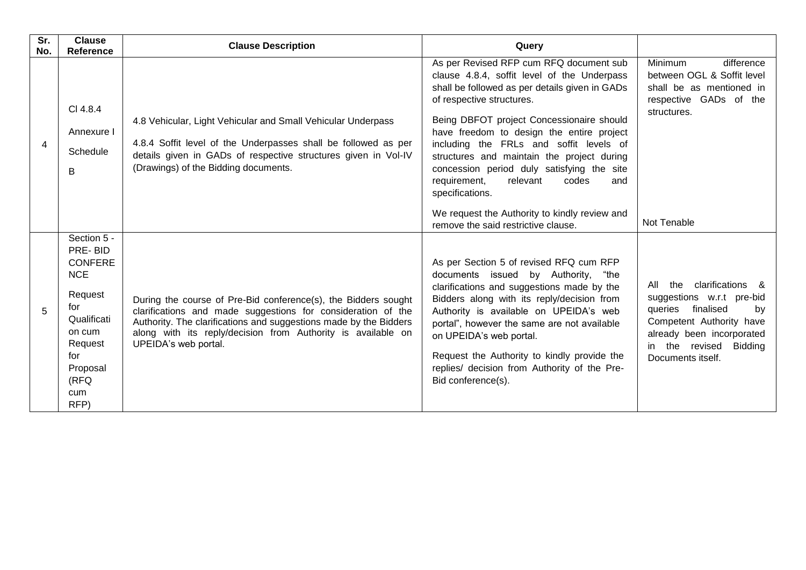| Sr.<br>No. | <b>Clause</b><br>Reference                                                                                                                             | <b>Clause Description</b>                                                                                                                                                                                                                                                                   | Query                                                                                                                                                                                                                                                                                                                                                                                                                                                                                                                  |                                                                                                                                                                                                   |
|------------|--------------------------------------------------------------------------------------------------------------------------------------------------------|---------------------------------------------------------------------------------------------------------------------------------------------------------------------------------------------------------------------------------------------------------------------------------------------|------------------------------------------------------------------------------------------------------------------------------------------------------------------------------------------------------------------------------------------------------------------------------------------------------------------------------------------------------------------------------------------------------------------------------------------------------------------------------------------------------------------------|---------------------------------------------------------------------------------------------------------------------------------------------------------------------------------------------------|
| 4          | CI 4.8.4<br>Annexure I<br>Schedule<br>B                                                                                                                | 4.8 Vehicular, Light Vehicular and Small Vehicular Underpass<br>4.8.4 Soffit level of the Underpasses shall be followed as per<br>details given in GADs of respective structures given in Vol-IV<br>(Drawings) of the Bidding documents.                                                    | As per Revised RFP cum RFQ document sub<br>clause 4.8.4, soffit level of the Underpass<br>shall be followed as per details given in GADs<br>of respective structures.<br>Being DBFOT project Concessionaire should<br>have freedom to design the entire project<br>including the FRLs and soffit levels of<br>structures and maintain the project during<br>concession period duly satisfying the site<br>relevant<br>requirement,<br>codes<br>and<br>specifications.<br>We request the Authority to kindly review and | <b>Minimum</b><br>difference<br>between OGL & Soffit level<br>shall be as mentioned in<br>respective GADs of the<br>structures.                                                                   |
|            |                                                                                                                                                        |                                                                                                                                                                                                                                                                                             | remove the said restrictive clause.                                                                                                                                                                                                                                                                                                                                                                                                                                                                                    | Not Tenable                                                                                                                                                                                       |
| 5          | Section 5 -<br>PRE-BID<br><b>CONFERE</b><br><b>NCE</b><br>Request<br>for<br>Qualificati<br>on cum<br>Request<br>for<br>Proposal<br>(RFQ<br>cum<br>RFP) | During the course of Pre-Bid conference(s), the Bidders sought<br>clarifications and made suggestions for consideration of the<br>Authority. The clarifications and suggestions made by the Bidders<br>along with its reply/decision from Authority is available on<br>UPEIDA's web portal. | As per Section 5 of revised RFQ cum RFP<br>documents issued by Authority, "the<br>clarifications and suggestions made by the<br>Bidders along with its reply/decision from<br>Authority is available on UPEIDA's web<br>portal", however the same are not available<br>on UPEIDA's web portal.<br>Request the Authority to kindly provide the<br>replies/ decision from Authority of the Pre-<br>Bid conference(s).                                                                                                    | clarifications &<br>the<br>All<br>suggestions w.r.t pre-bid<br>queries<br>finalised<br>by<br>Competent Authority have<br>already been incorporated<br>in the revised Bidding<br>Documents itself. |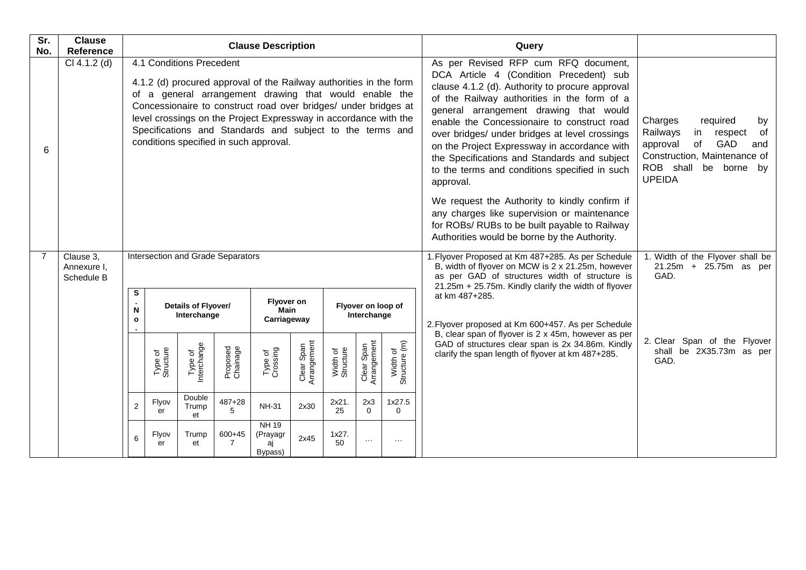| Sr.<br>No.     | <b>Clause</b><br><b>Reference</b>      | <b>Clause Description</b>                                                                                                                                                                                                                                                                                                                                                                              |                      |                                    |                      |                                           |                           |                       |                                   |                                                                                                                                                                                                                           | Query                                                                                                                                                                                                                                                                                                                                                                                                                                                                                                                                                                                                                                                                                       |                                                                                                                                                                           |
|----------------|----------------------------------------|--------------------------------------------------------------------------------------------------------------------------------------------------------------------------------------------------------------------------------------------------------------------------------------------------------------------------------------------------------------------------------------------------------|----------------------|------------------------------------|----------------------|-------------------------------------------|---------------------------|-----------------------|-----------------------------------|---------------------------------------------------------------------------------------------------------------------------------------------------------------------------------------------------------------------------|---------------------------------------------------------------------------------------------------------------------------------------------------------------------------------------------------------------------------------------------------------------------------------------------------------------------------------------------------------------------------------------------------------------------------------------------------------------------------------------------------------------------------------------------------------------------------------------------------------------------------------------------------------------------------------------------|---------------------------------------------------------------------------------------------------------------------------------------------------------------------------|
| 6              | $CI 4.1.2$ (d)                         | 4.1 Conditions Precedent<br>4.1.2 (d) procured approval of the Railway authorities in the form<br>of a general arrangement drawing that would enable the<br>Concessionaire to construct road over bridges/ under bridges at<br>level crossings on the Project Expressway in accordance with the<br>Specifications and Standards and subject to the terms and<br>conditions specified in such approval. |                      |                                    |                      |                                           |                           |                       |                                   |                                                                                                                                                                                                                           | As per Revised RFP cum RFQ document,<br>DCA Article 4 (Condition Precedent) sub<br>clause 4.1.2 (d). Authority to procure approval<br>of the Railway authorities in the form of a<br>general arrangement drawing that would<br>enable the Concessionaire to construct road<br>over bridges/ under bridges at level crossings<br>on the Project Expressway in accordance with<br>the Specifications and Standards and subject<br>to the terms and conditions specified in such<br>approval.<br>We request the Authority to kindly confirm if<br>any charges like supervision or maintenance<br>for ROBs/ RUBs to be built payable to Railway<br>Authorities would be borne by the Authority. | Charges<br>required<br>by<br>Railways<br>of<br>in<br>respect<br>of<br>GAD<br>approval<br>and<br>Construction, Maintenance of<br>ROB shall be borne<br>by<br><b>UPEIDA</b> |
| $\overline{7}$ | Clause 3,<br>Annexure I,<br>Schedule B | Intersection and Grade Separators                                                                                                                                                                                                                                                                                                                                                                      |                      |                                    |                      |                                           |                           |                       |                                   | 1. Flyover Proposed at Km 487+285. As per Schedule<br>B, width of flyover on MCW is 2 x 21.25m, however<br>as per GAD of structures width of structure is<br>GAD.<br>21.25m + 25.75m. Kindly clarify the width of flyover | 1. Width of the Flyover shall be<br>21.25m + 25.75m as per                                                                                                                                                                                                                                                                                                                                                                                                                                                                                                                                                                                                                                  |                                                                                                                                                                           |
|                |                                        | S<br>N<br>$\mathbf{o}$                                                                                                                                                                                                                                                                                                                                                                                 |                      | Details of Flyover/<br>Interchange |                      | Flyover on<br>Main<br>Carriageway         |                           |                       | Flyover on loop of<br>Interchange |                                                                                                                                                                                                                           | at km 487+285.<br>2. Flyover proposed at Km 600+457. As per Schedule                                                                                                                                                                                                                                                                                                                                                                                                                                                                                                                                                                                                                        |                                                                                                                                                                           |
|                |                                        |                                                                                                                                                                                                                                                                                                                                                                                                        | Type of<br>Structure | Type of<br>Interchange             | Proposed<br>Chainage | Type of<br>Crossing                       | Clear Span<br>Arrangement | Width of<br>Structure | Clear Span<br>Arrangement         | Width of<br>Structure (m)                                                                                                                                                                                                 | B, clear span of flyover is 2 x 45m, however as per<br>GAD of structures clear span is 2x 34.86m. Kindly<br>clarify the span length of flyover at km 487+285.                                                                                                                                                                                                                                                                                                                                                                                                                                                                                                                               | 2. Clear Span of the Flyover<br>shall be 2X35.73m as per<br>GAD.                                                                                                          |
|                |                                        | 2                                                                                                                                                                                                                                                                                                                                                                                                      | Flyov<br>er          | Double<br>Trump<br>et              | $487 + 28$<br>5      | <b>NH-31</b>                              | 2x30                      | 2x21.<br>25           | 2x3<br>$\Omega$                   | 1x27.5<br>$\Omega$                                                                                                                                                                                                        |                                                                                                                                                                                                                                                                                                                                                                                                                                                                                                                                                                                                                                                                                             |                                                                                                                                                                           |
|                |                                        | 6                                                                                                                                                                                                                                                                                                                                                                                                      | Flyov<br>er          | Trump<br>et                        | 600+45<br>7          | <b>NH 19</b><br>(Prayagr<br>aj<br>Bypass) | 2x45                      | 1x27.<br>50           | $\cdots$                          | $\sim$ $\sim$                                                                                                                                                                                                             |                                                                                                                                                                                                                                                                                                                                                                                                                                                                                                                                                                                                                                                                                             |                                                                                                                                                                           |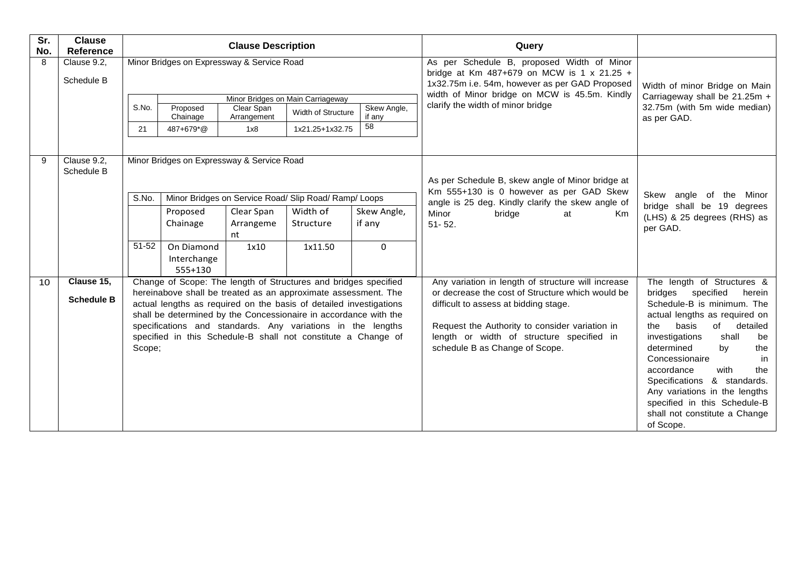| Sr.<br>No. | <b>Clause</b><br>Reference      |             |                                            | <b>Clause Description</b>        |                                                                                                                                                                                                                                                                                                                                                                                                             |                             | Query                                                                                                                                                                                                                                                                            |                                                                                                                                                                                                                                                                                                                                                                                                                              |                                                                       |
|------------|---------------------------------|-------------|--------------------------------------------|----------------------------------|-------------------------------------------------------------------------------------------------------------------------------------------------------------------------------------------------------------------------------------------------------------------------------------------------------------------------------------------------------------------------------------------------------------|-----------------------------|----------------------------------------------------------------------------------------------------------------------------------------------------------------------------------------------------------------------------------------------------------------------------------|------------------------------------------------------------------------------------------------------------------------------------------------------------------------------------------------------------------------------------------------------------------------------------------------------------------------------------------------------------------------------------------------------------------------------|-----------------------------------------------------------------------|
| 8          | Clause 9.2.<br>Schedule B       |             | Minor Bridges on Expressway & Service Road |                                  |                                                                                                                                                                                                                                                                                                                                                                                                             |                             | As per Schedule B, proposed Width of Minor<br>bridge at Km 487+679 on MCW is 1 x 21.25 +<br>1x32.75m i.e. 54m, however as per GAD Proposed                                                                                                                                       | Width of minor Bridge on Main<br>Carriageway shall be 21.25m +<br>32.75m (with 5m wide median)<br>as per GAD.                                                                                                                                                                                                                                                                                                                |                                                                       |
|            |                                 | S.No.<br>21 | Proposed<br>Chainage<br>487+679*@          | Clear Span<br>Arrangement<br>1x8 | Minor Bridges on Main Carriageway<br>Width of Structure<br>1x21.25+1x32.75                                                                                                                                                                                                                                                                                                                                  | Skew Angle,<br>if any<br>58 | width of Minor bridge on MCW is 45.5m. Kindly<br>clarify the width of minor bridge                                                                                                                                                                                               |                                                                                                                                                                                                                                                                                                                                                                                                                              |                                                                       |
| 9          | Clause 9.2,<br>Schedule B       |             | Minor Bridges on Expressway & Service Road |                                  | Minor Bridges on Service Road/ Slip Road/ Ramp/ Loops                                                                                                                                                                                                                                                                                                                                                       |                             | As per Schedule B, skew angle of Minor bridge at<br>Km 555+130 is 0 however as per GAD Skew                                                                                                                                                                                      | Skew<br>angle of the Minor                                                                                                                                                                                                                                                                                                                                                                                                   |                                                                       |
|            |                                 |             | S.No.                                      | Proposed<br>Chainage             | Clear Span<br>Arrangeme<br>nt                                                                                                                                                                                                                                                                                                                                                                               | Width of<br>Structure       | Skew Angle,<br>if any                                                                                                                                                                                                                                                            | angle is 25 deg. Kindly clarify the skew angle of<br>Minor<br>bridge<br>at<br>Km.<br>$51 - 52$ .                                                                                                                                                                                                                                                                                                                             | bridge shall be 19 degrees<br>(LHS) & 25 degrees (RHS) as<br>per GAD. |
|            |                                 | 51-52       | On Diamond<br>Interchange<br>555+130       | 1x10                             | 1x11.50                                                                                                                                                                                                                                                                                                                                                                                                     | $\Omega$                    |                                                                                                                                                                                                                                                                                  |                                                                                                                                                                                                                                                                                                                                                                                                                              |                                                                       |
| 10         | Clause 15,<br><b>Schedule B</b> | Scope;      |                                            |                                  | Change of Scope: The length of Structures and bridges specified<br>hereinabove shall be treated as an approximate assessment. The<br>actual lengths as required on the basis of detailed investigations<br>shall be determined by the Concessionaire in accordance with the<br>specifications and standards. Any variations in the lengths<br>specified in this Schedule-B shall not constitute a Change of |                             | Any variation in length of structure will increase<br>or decrease the cost of Structure which would be<br>difficult to assess at bidding stage.<br>Request the Authority to consider variation in<br>length or width of structure specified in<br>schedule B as Change of Scope. | The length of Structures &<br>bridges<br>specified<br>herein<br>Schedule-B is minimum. The<br>actual lengths as required on<br>of<br>basis<br>detailed<br>the<br>shall<br>investigations<br>be<br>determined<br>by<br>the<br>Concessionaire<br>in<br>with<br>accordance<br>the<br>Specifications & standards.<br>Any variations in the lengths<br>specified in this Schedule-B<br>shall not constitute a Change<br>of Scope. |                                                                       |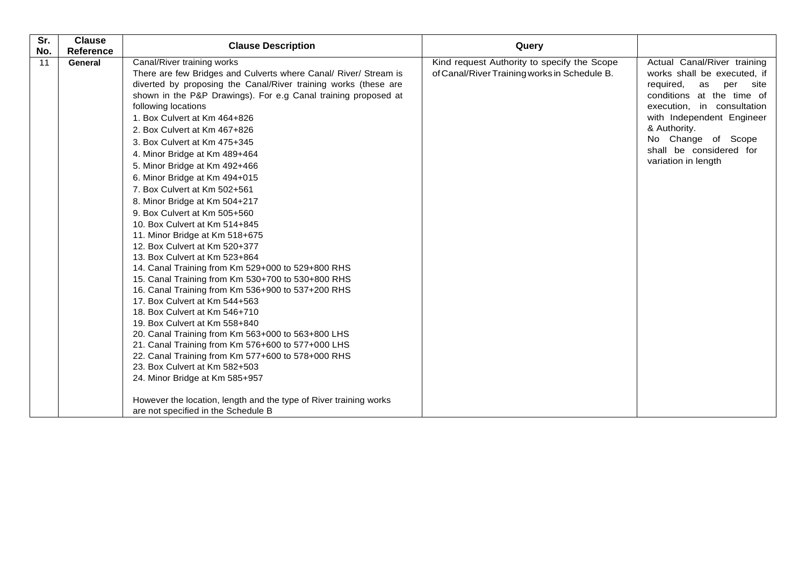| Sr.       | <b>Clause</b>        | <b>Clause Description</b>                                                                              | Query                                        |                                |
|-----------|----------------------|--------------------------------------------------------------------------------------------------------|----------------------------------------------|--------------------------------|
| No.<br>11 | Reference<br>General | Canal/River training works                                                                             | Kind request Authority to specify the Scope  | Actual Canal/River training    |
|           |                      | There are few Bridges and Culverts where Canal/ River/ Stream is                                       | of Canal/River Training works in Schedule B. | works shall be executed, if    |
|           |                      | diverted by proposing the Canal/River training works (these are                                        |                                              | required,<br>as<br>per<br>site |
|           |                      | shown in the P&P Drawings). For e.g Canal training proposed at                                         |                                              | conditions at the time of      |
|           |                      | following locations                                                                                    |                                              | execution, in consultation     |
|           |                      | 1. Box Culvert at Km 464+826                                                                           |                                              | with Independent Engineer      |
|           |                      | 2. Box Culvert at Km 467+826                                                                           |                                              | & Authority.                   |
|           |                      | 3. Box Culvert at Km 475+345                                                                           |                                              | No Change of Scope             |
|           |                      | 4. Minor Bridge at Km 489+464                                                                          |                                              | shall be considered for        |
|           |                      | 5. Minor Bridge at Km 492+466                                                                          |                                              | variation in length            |
|           |                      | 6. Minor Bridge at Km 494+015                                                                          |                                              |                                |
|           |                      | 7. Box Culvert at Km 502+561                                                                           |                                              |                                |
|           |                      | 8. Minor Bridge at Km 504+217                                                                          |                                              |                                |
|           |                      | 9. Box Culvert at Km 505+560                                                                           |                                              |                                |
|           |                      | 10. Box Culvert at Km 514+845                                                                          |                                              |                                |
|           |                      | 11. Minor Bridge at Km 518+675                                                                         |                                              |                                |
|           |                      | 12. Box Culvert at Km 520+377                                                                          |                                              |                                |
|           |                      | 13. Box Culvert at Km 523+864                                                                          |                                              |                                |
|           |                      | 14. Canal Training from Km 529+000 to 529+800 RHS                                                      |                                              |                                |
|           |                      | 15. Canal Training from Km 530+700 to 530+800 RHS<br>16. Canal Training from Km 536+900 to 537+200 RHS |                                              |                                |
|           |                      | 17. Box Culvert at Km 544+563                                                                          |                                              |                                |
|           |                      | 18. Box Culvert at Km 546+710                                                                          |                                              |                                |
|           |                      | 19. Box Culvert at Km 558+840                                                                          |                                              |                                |
|           |                      | 20. Canal Training from Km 563+000 to 563+800 LHS                                                      |                                              |                                |
|           |                      | 21. Canal Training from Km 576+600 to 577+000 LHS                                                      |                                              |                                |
|           |                      | 22. Canal Training from Km 577+600 to 578+000 RHS                                                      |                                              |                                |
|           |                      | 23. Box Culvert at Km 582+503                                                                          |                                              |                                |
|           |                      | 24. Minor Bridge at Km 585+957                                                                         |                                              |                                |
|           |                      | However the location, length and the type of River training works                                      |                                              |                                |
|           |                      | are not specified in the Schedule B                                                                    |                                              |                                |